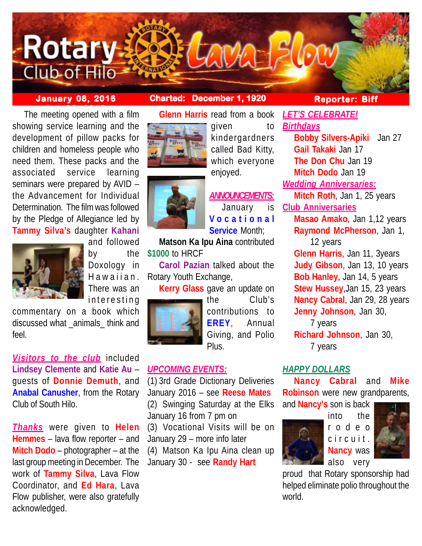

# **January 08, 2016 Charted: December 1, 1920**

**The meeting opened with a film** showing service learning and the development of pillow packs for children and homeless people who need them. These packs and the associated service learning seminars were prepared by AVID – the Advancement for Individual Determination. The film was followed by the Pledge of Allegiance led by **Tammy Silva's** daughter **Kahani**



and followed by the Doxology in Hawaiian. There was an interesting

commentary on a book which discussed what \_animals\_ think and feel.

*Visitors to the club* included **Lindsey Clemente** and **Katie Au** – guests of **Donnie Demuth**, and **Anabal Canusher**, from the Rotary Club of South Hilo.

*Thanks* were given to **Helen Hemmes** – lava flow reporter – and **Mitch Dodo** – photographer – at the last group meeting in December. The work of **Tammy Silva**, Lava Flow Coordinator, and **Ed Hara**, Lava Flow publisher, were also gratefully acknowledged.





kindergardners called Bad Kitty, which everyone enjoyed.

given to

*ANNOUNCEMENTS:* January is **Vocational Service** Month;

**Matson Ka Ipu Aina** contributed **\$1000** to HRCF

**Carol Pazian** talked about the Rotary Youth Exchange,

**Kerry Glass** gave an update on



the Club's contributions to **EREY**, Annual Giving, and Polio Plus.

# *UPCOMING EVENTS:*

(1) 3rd Grade Dictionary Deliveries January 2016 – see **Reese Mates** (2) Swinging Saturday at the Elks January 16 from 7 pm on

(3) Vocational Visits will be on January 29 – more info later

(4) Matson Ka Ipu Aina clean up January 30 - see **Randy Hart**

# **Reporter: Biff**

*LET'S CELEBRATE! Birthdays* **Bobby Silvers-Apiki** Jan 27 **Gail Takaki** Jan 17 **The Don Chu** Jan 19 **Mitch Dodo** Jan 19 *Wedding Anniversaries:* **Mitch Roth**, Jan 1, 25 years **Club Anniversaries Masao Amako**, Jan 1,12 years **Raymond McPherson**, Jan 1, 12 years **Glenn Harris**, Jan 11, 3years **Judy Gibson**, Jan 13, 10 years **Bob Hanley**, Jan 14, 5 years **Stew Hussey**,Jan 15, 23 years **Nancy Cabral**, Jan 29, 28 years **Jenny Johnson**, Jan 30, 7 years **Richard Johnson**, Jan 30, 7 years

# *HAPPY DOLLARS*

**Nancy Cabral** and **Mike Robinson** were new grandparents, and **Nancy's** son is back



into the rodeo circuit. **Nancy** was also very



proud that Rotary sponsorship had helped eliminate polio throughout the world.